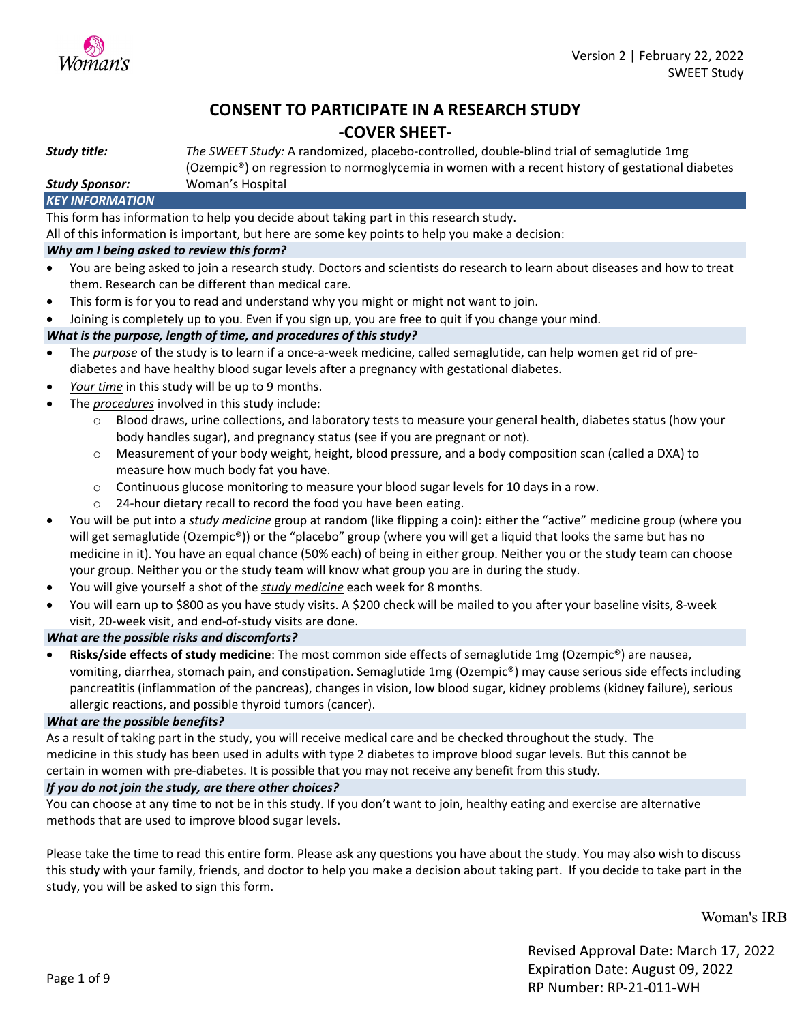

### **CONSENT TO PARTICIPATE IN A RESEARCH STUDY -COVER SHEET-**

*Study title: The SWEET Study:* A randomized, placebo-controlled, double-blind trial of semaglutide 1mg (Ozempic®) on regression to normoglycemia in women with a recent history of gestational diabetes

*Study Sponsor:* Woman's Hospital

#### *KEY INFORMATION*

This form has information to help you decide about taking part in this research study.

All of this information is important, but here are some key points to help you make a decision:

#### *Why am I being asked to review this form?*

- You are being asked to join a research study. Doctors and scientists do research to learn about diseases and how to treat them. Research can be different than medical care.
- This form is for you to read and understand why you might or might not want to join.
- Joining is completely up to you. Even if you sign up, you are free to quit if you change your mind.

#### *What is the purpose, length of time, and procedures of this study?*

- The *purpose* of the study is to learn if a once-a-week medicine, called semaglutide, can help women get rid of prediabetes and have healthy blood sugar levels after a pregnancy with gestational diabetes.
- Your time in this study will be up to 9 months.
- The *procedures* involved in this study include:
	- o Blood draws, urine collections, and laboratory tests to measure your general health, diabetes status (how your body handles sugar), and pregnancy status (see if you are pregnant or not).
	- o Measurement of your body weight, height, blood pressure, and a body composition scan (called a DXA) to measure how much body fat you have.
	- $\circ$  Continuous glucose monitoring to measure your blood sugar levels for 10 days in a row.
	- o 24-hour dietary recall to record the food you have been eating.
- You will be put into a *study medicine* group at random (like flipping a coin): either the "active" medicine group (where you will get semaglutide (Ozempic®)) or the "placebo" group (where you will get a liquid that looks the same but has no medicine in it). You have an equal chance (50% each) of being in either group. Neither you or the study team can choose your group. Neither you or the study team will know what group you are in during the study.
- You will give yourself a shot of the *study medicine* each week for 8 months.
- You will earn up to \$800 as you have study visits. A \$200 check will be mailed to you after your baseline visits, 8-week visit, 20-week visit, and end-of-study visits are done.

#### *What are the possible risks and discomforts?*

• **Risks/side effects of study medicine**: The most common side effects of semaglutide 1mg (Ozempic®) are nausea, vomiting, diarrhea, stomach pain, and constipation. Semaglutide 1mg (Ozempic®) may cause serious side effects including pancreatitis (inflammation of the pancreas), changes in vision, low blood sugar, kidney problems (kidney failure), serious allergic reactions, and possible thyroid tumors (cancer).

#### *What are the possible benefits?*

As a result of taking part in the study, you will receive medical care and be checked throughout the study. The medicine in this study has been used in adults with type 2 diabetes to improve blood sugar levels. But this cannot be certain in women with pre-diabetes. It is possible that you may not receive any benefit from this study.

#### *If you do not join the study, are there other choices?*

You can choose at any time to not be in this study. If you don't want to join, healthy eating and exercise are alternative methods that are used to improve blood sugar levels.

Please take the time to read this entire form. Please ask any questions you have about the study. You may also wish to discuss this study with your family, friends, and doctor to help you make a decision about taking part. If you decide to take part in the study, you will be asked to sign this form.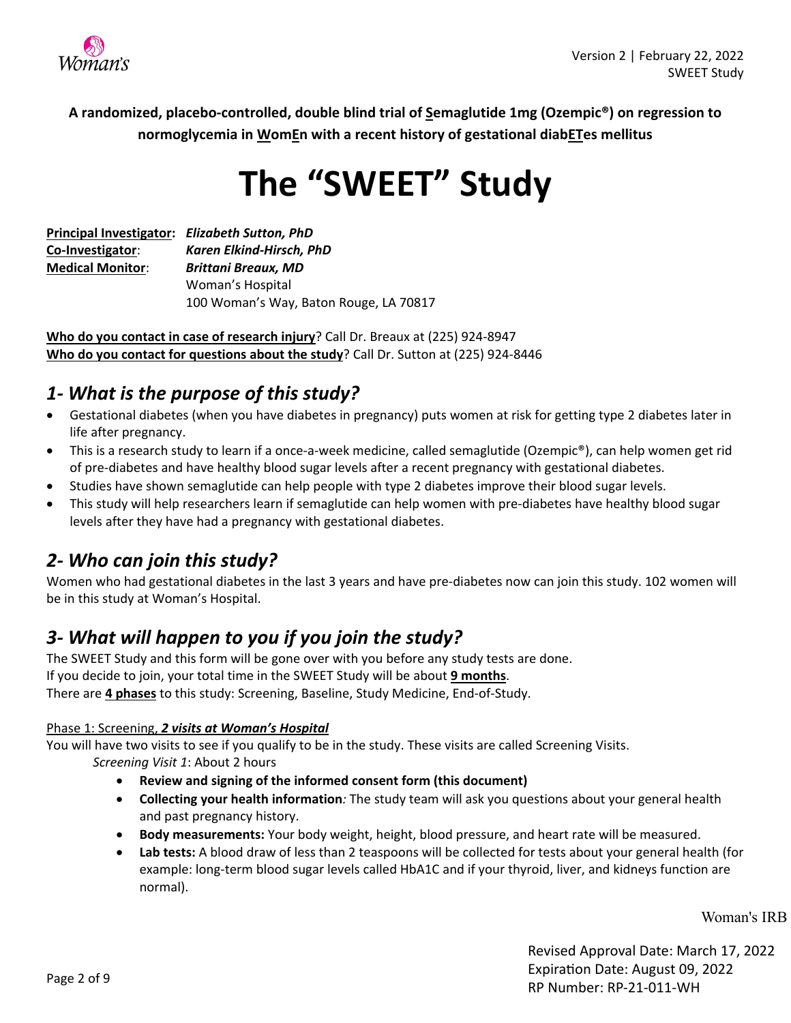

**A randomized, placebo-controlled, double blind trial of Semaglutide 1mg (Ozempic®) on regression to normoglycemia in WomEn with a recent history of gestational diabETes mellitus**

# **The "SWEET" Study**

|                         | Principal Investigator: Elizabeth Sutton, PhD |  |
|-------------------------|-----------------------------------------------|--|
| Co-Investigator:        | Karen Elkind-Hirsch, PhD                      |  |
| <b>Medical Monitor:</b> | <b>Brittani Breaux, MD</b>                    |  |
|                         | Woman's Hospital                              |  |
|                         | 100 Woman's Way, Baton Rouge, LA 70817        |  |

**Who do you contact in case of research injury**? Call Dr. Breaux at (225) 924-8947 **Who do you contact for questions about the study**? Call Dr. Sutton at (225) 924-8446

### *1- What is the purpose of this study?*

- Gestational diabetes (when you have diabetes in pregnancy) puts women at risk for getting type 2 diabetes later in life after pregnancy.
- This is a research study to learn if a once-a-week medicine, called semaglutide (Ozempic®), can help women get rid of pre-diabetes and have healthy blood sugar levels after a recent pregnancy with gestational diabetes.
- Studies have shown semaglutide can help people with type 2 diabetes improve their blood sugar levels.
- This study will help researchers learn if semaglutide can help women with pre-diabetes have healthy blood sugar levels after they have had a pregnancy with gestational diabetes.

### *2- Who can join this study?*

Women who had gestational diabetes in the last 3 years and have pre-diabetes now can join this study. 102 women will be in this study at Woman's Hospital.

### *3- What will happen to you if you join the study?*

The SWEET Study and this form will be gone over with you before any study tests are done. If you decide to join, your total time in the SWEET Study will be about **9 months**. There are **4 phases** to this study: Screening, Baseline, Study Medicine, End-of-Study.

### Phase 1: Screening, *2 visits at Woman's Hospital*

You will have two visits to see if you qualify to be in the study. These visits are called Screening Visits.

*Screening Visit 1*: About 2 hours

- **Review and signing of the informed consent form (this document)**
- **Collecting your health information***:* The study team will ask you questions about your general health and past pregnancy history.
- **Body measurements:** Your body weight, height, blood pressure, and heart rate will be measured.
- **Lab tests:** A blood draw of less than 2 teaspoons will be collected for tests about your general health (for example: long-term blood sugar levels called HbA1C and if your thyroid, liver, and kidneys function are normal).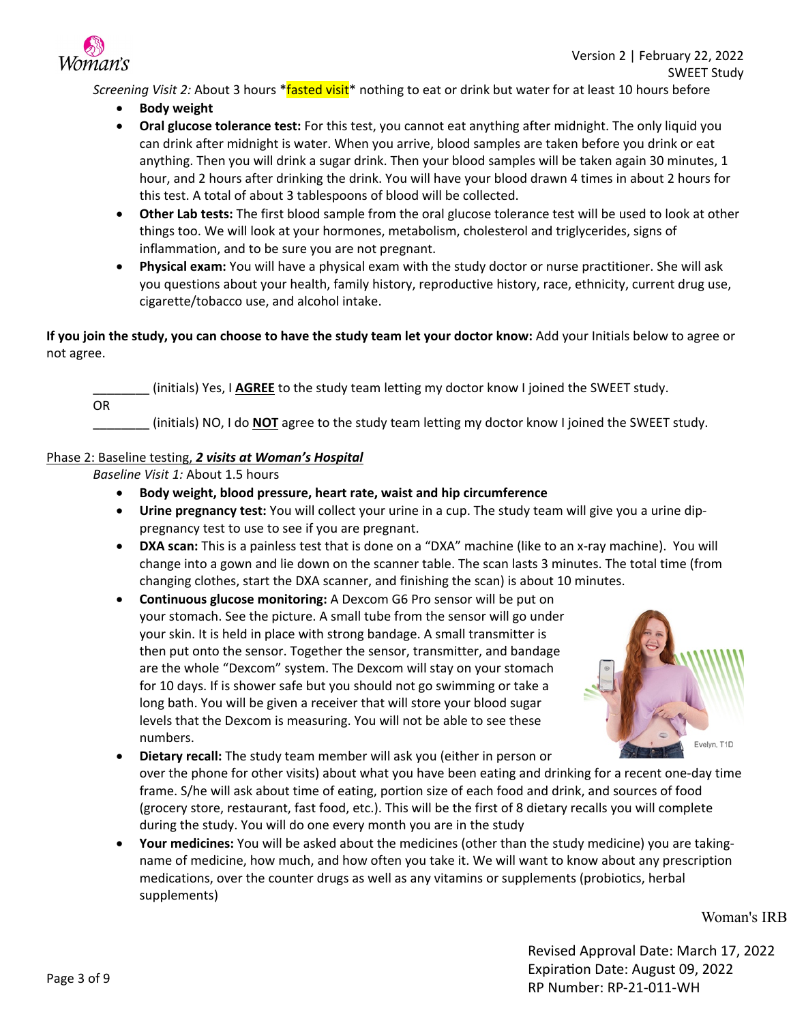

*Screening Visit 2:* About 3 hours \*fasted visit\* nothing to eat or drink but water for at least 10 hours before

- **Body weight**
- **Oral glucose tolerance test:** For this test, you cannot eat anything after midnight. The only liquid you can drink after midnight is water. When you arrive, blood samples are taken before you drink or eat anything. Then you will drink a sugar drink. Then your blood samples will be taken again 30 minutes, 1 hour, and 2 hours after drinking the drink. You will have your blood drawn 4 times in about 2 hours for this test. A total of about 3 tablespoons of blood will be collected.
- **Other Lab tests:** The first blood sample from the oral glucose tolerance test will be used to look at other things too. We will look at your hormones, metabolism, cholesterol and triglycerides, signs of inflammation, and to be sure you are not pregnant.
- **Physical exam:** You will have a physical exam with the study doctor or nurse practitioner. She will ask you questions about your health, family history, reproductive history, race, ethnicity, current drug use, cigarette/tobacco use, and alcohol intake.

#### **If you join the study, you can choose to have the study team let your doctor know:** Add your Initials below to agree or not agree.

\_\_\_\_\_\_\_\_ (initials) Yes, I **AGREE** to the study team letting my doctor know I joined the SWEET study.

OR

\_\_\_\_\_\_\_\_ (initials) NO, I do **NOT** agree to the study team letting my doctor know I joined the SWEET study.

#### Phase 2: Baseline testing, *2 visits at Woman's Hospital*

*Baseline Visit 1:* About 1.5 hours

- **Body weight, blood pressure, heart rate, waist and hip circumference**
- **Urine pregnancy test:** You will collect your urine in a cup. The study team will give you a urine dippregnancy test to use to see if you are pregnant.
- **DXA scan:** This is a painless test that is done on a "DXA" machine (like to an x-ray machine). You will change into a gown and lie down on the scanner table. The scan lasts 3 minutes. The total time (from changing clothes, start the DXA scanner, and finishing the scan) is about 10 minutes.
- **Continuous glucose monitoring:** A Dexcom G6 Pro sensor will be put on your stomach. See the picture. A small tube from the sensor will go under your skin. It is held in place with strong bandage. A small transmitter is then put onto the sensor. Together the sensor, transmitter, and bandage are the whole "Dexcom" system. The Dexcom will stay on your stomach for 10 days. If is shower safe but you should not go swimming or take a long bath. You will be given a receiver that will store your blood sugar levels that the Dexcom is measuring. You will not be able to see these numbers.



- **Dietary recall:** The study team member will ask you (either in person or over the phone for other visits) about what you have been eating and drinking for a recent one-day time frame. S/he will ask about time of eating, portion size of each food and drink, and sources of food (grocery store, restaurant, fast food, etc.). This will be the first of 8 dietary recalls you will complete during the study. You will do one every month you are in the study
- **Your medicines:** You will be asked about the medicines (other than the study medicine) you are takingname of medicine, how much, and how often you take it. We will want to know about any prescription medications, over the counter drugs as well as any vitamins or supplements (probiotics, herbal supplements)

Woman's IRB

Revised Approval Date: March 17, 2022 Expiration Date: August 09, 2022 RP Number: RP-21-011-WH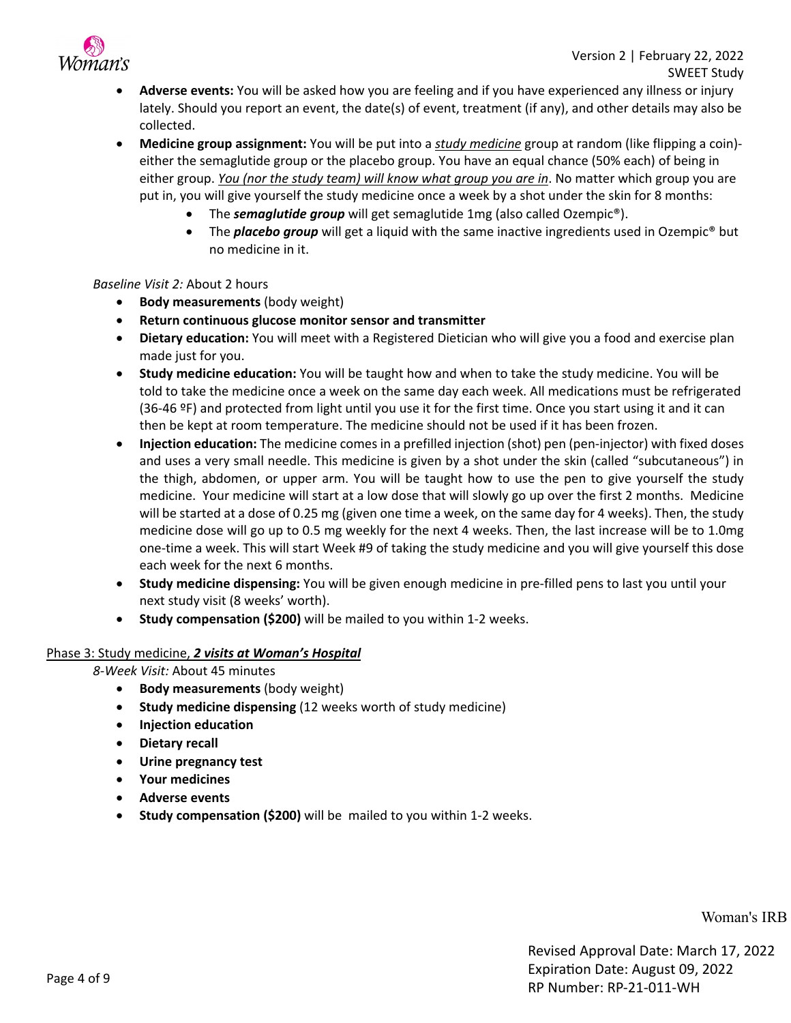

- **Adverse events:** You will be asked how you are feeling and if you have experienced any illness or injury lately. Should you report an event, the date(s) of event, treatment (if any), and other details may also be collected.
- **Medicine group assignment:** You will be put into a *study medicine* group at random (like flipping a coin) either the semaglutide group or the placebo group. You have an equal chance (50% each) of being in either group. *You (nor the study team) will know what group you are in*. No matter which group you are put in, you will give yourself the study medicine once a week by a shot under the skin for 8 months:
	- The *semaglutide group* will get semaglutide 1mg (also called Ozempic®).
	- The *placebo group* will get a liquid with the same inactive ingredients used in Ozempic<sup>®</sup> but no medicine in it.

#### *Baseline Visit 2:* About 2 hours

- **Body measurements** (body weight)
- **Return continuous glucose monitor sensor and transmitter**
- **Dietary education:** You will meet with a Registered Dietician who will give you a food and exercise plan made just for you.
- **Study medicine education:** You will be taught how and when to take the study medicine. You will be told to take the medicine once a week on the same day each week. All medications must be refrigerated (36-46 ºF) and protected from light until you use it for the first time. Once you start using it and it can then be kept at room temperature. The medicine should not be used if it has been frozen.
- **Injection education:** The medicine comes in a prefilled injection (shot) pen (pen-injector) with fixed doses and uses a very small needle. This medicine is given by a shot under the skin (called "subcutaneous") in the thigh, abdomen, or upper arm. You will be taught how to use the pen to give yourself the study medicine. Your medicine will start at a low dose that will slowly go up over the first 2 months. Medicine will be started at a dose of 0.25 mg (given one time a week, on the same day for 4 weeks). Then, the study medicine dose will go up to 0.5 mg weekly for the next 4 weeks. Then, the last increase will be to 1.0mg one-time a week. This will start Week #9 of taking the study medicine and you will give yourself this dose each week for the next 6 months.
- **Study medicine dispensing:** You will be given enough medicine in pre-filled pens to last you until your next study visit (8 weeks' worth).
- **Study compensation (\$200)** will be mailed to you within 1-2 weeks.

#### Phase 3: Study medicine, *2 visits at Woman's Hospital*

*8-Week Visit:* About 45 minutes

- **Body measurements** (body weight)
- **Study medicine dispensing** (12 weeks worth of study medicine)
- **Injection education**
- **Dietary recall**
- **Urine pregnancy test**
- **Your medicines**
- **Adverse events**
- **Study compensation (\$200)** will be mailed to you within 1-2 weeks.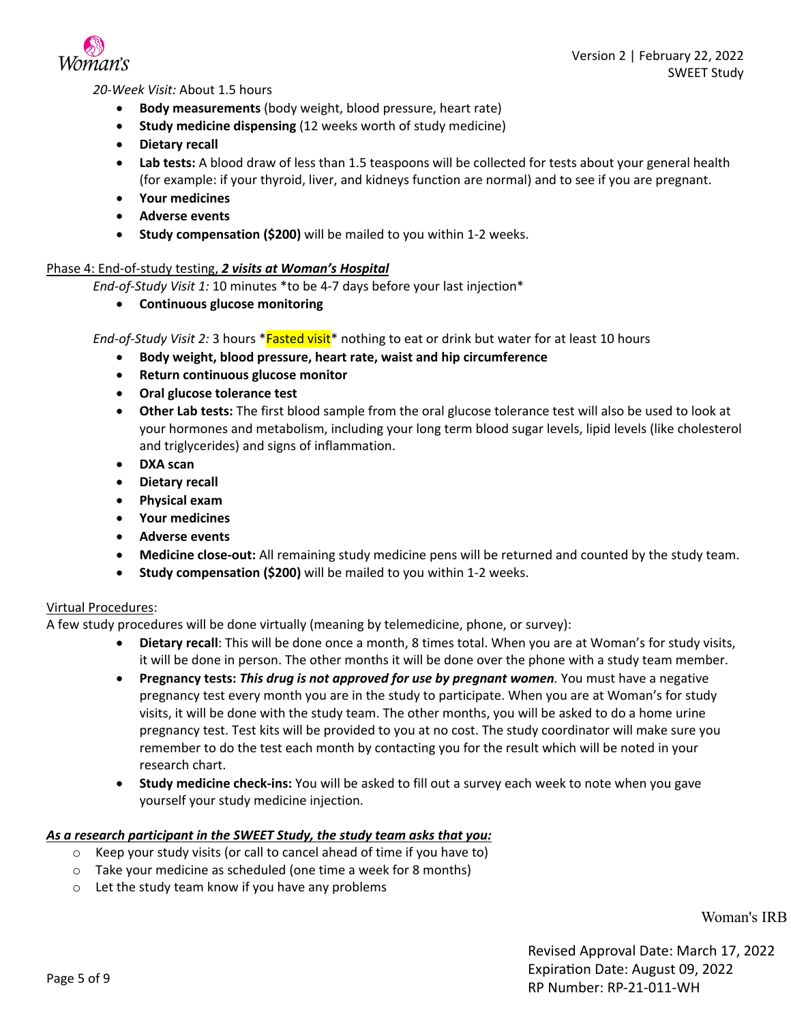

*20-Week Visit:* About 1.5 hours

- **Body measurements** (body weight, blood pressure, heart rate)
- **Study medicine dispensing** (12 weeks worth of study medicine)
- **Dietary recall**
- **Lab tests:** A blood draw of less than 1.5 teaspoons will be collected for tests about your general health (for example: if your thyroid, liver, and kidneys function are normal) and to see if you are pregnant.
- **Your medicines**
- **Adverse events**
- **Study compensation (\$200)** will be mailed to you within 1-2 weeks.

#### Phase 4: End-of-study testing, *2 visits at Woman's Hospital*

*End-of-Study Visit 1:* 10 minutes \*to be 4-7 days before your last injection\*

• **Continuous glucose monitoring**

*End-of-Study Visit 2:* 3 hours \*Fasted visit\* nothing to eat or drink but water for at least 10 hours

- **Body weight, blood pressure, heart rate, waist and hip circumference**
- **Return continuous glucose monitor**
- **Oral glucose tolerance test**
- **Other Lab tests:** The first blood sample from the oral glucose tolerance test will also be used to look at your hormones and metabolism, including your long term blood sugar levels, lipid levels (like cholesterol and triglycerides) and signs of inflammation.
- **DXA scan**
- **Dietary recall**
- **Physical exam**
- **Your medicines**
- **Adverse events**
- **Medicine close-out:** All remaining study medicine pens will be returned and counted by the study team.
- **Study compensation (\$200)** will be mailed to you within 1-2 weeks.

#### Virtual Procedures:

A few study procedures will be done virtually (meaning by telemedicine, phone, or survey):

- **Dietary recall**: This will be done once a month, 8 times total. When you are at Woman's for study visits, it will be done in person. The other months it will be done over the phone with a study team member.
- **Pregnancy tests:** *This drug is not approved for use by pregnant women.* You must have a negative pregnancy test every month you are in the study to participate. When you are at Woman's for study visits, it will be done with the study team. The other months, you will be asked to do a home urine pregnancy test. Test kits will be provided to you at no cost. The study coordinator will make sure you remember to do the test each month by contacting you for the result which will be noted in your research chart.
- **Study medicine check-ins:** You will be asked to fill out a survey each week to note when you gave yourself your study medicine injection.

#### *As a research participant in the SWEET Study, the study team asks that you:*

- o Keep your study visits (or call to cancel ahead of time if you have to)
- o Take your medicine as scheduled (one time a week for 8 months)
- o Let the study team know if you have any problems

Woman's IRB

Revised Approval Date: March 17, 2022 Expiration Date: August 09, 2022 RP Number: RP-21-011-WH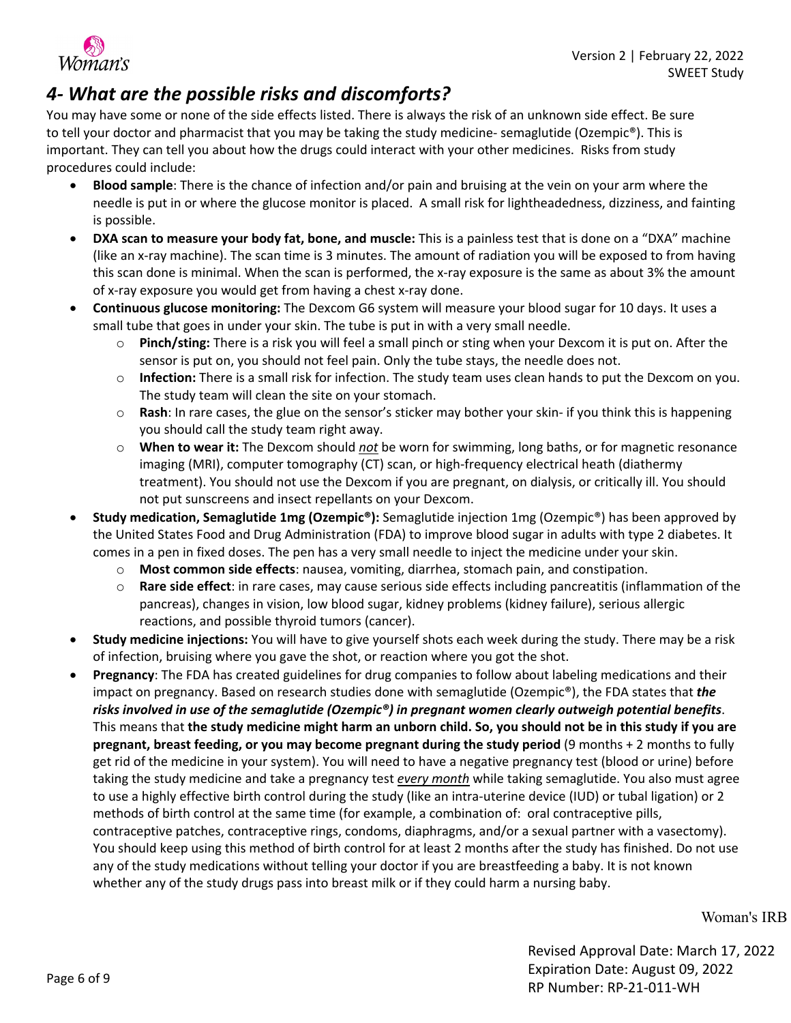

### *4- What are the possible risks and discomforts?*

You may have some or none of the side effects listed. There is always the risk of an unknown side effect. Be sure to tell your doctor and pharmacist that you may be taking the study medicine- semaglutide (Ozempic®). This is important. They can tell you about how the drugs could interact with your other medicines. Risks from study procedures could include:

- **Blood sample**: There is the chance of infection and/or pain and bruising at the vein on your arm where the needle is put in or where the glucose monitor is placed. A small risk for lightheadedness, dizziness, and fainting is possible.
- **DXA scan to measure your body fat, bone, and muscle:** This is a painless test that is done on a "DXA" machine (like an x-ray machine). The scan time is 3 minutes. The amount of radiation you will be exposed to from having this scan done is minimal. When the scan is performed, the x-ray exposure is the same as about 3% the amount of x-ray exposure you would get from having a chest x-ray done.
- **Continuous glucose monitoring:** The Dexcom G6 system will measure your blood sugar for 10 days. It uses a small tube that goes in under your skin. The tube is put in with a very small needle.
	- o **Pinch/sting:** There is a risk you will feel a small pinch or sting when your Dexcom it is put on. After the sensor is put on, you should not feel pain. Only the tube stays, the needle does not.
	- o **Infection:** There is a small risk for infection. The study team uses clean hands to put the Dexcom on you. The study team will clean the site on your stomach.
	- o **Rash**: In rare cases, the glue on the sensor's sticker may bother your skin- if you think this is happening you should call the study team right away.
	- o **When to wear it:** The Dexcom should *not* be worn for swimming, long baths, or for magnetic resonance imaging (MRI), computer tomography (CT) scan, or high-frequency electrical heath (diathermy treatment). You should not use the Dexcom if you are pregnant, on dialysis, or critically ill. You should not put sunscreens and insect repellants on your Dexcom.
- **Study medication, Semaglutide 1mg (Ozempic®):** Semaglutide injection 1mg (Ozempic®) has been approved by the United States Food and Drug Administration (FDA) to improve blood sugar in adults with type 2 diabetes. It comes in a pen in fixed doses. The pen has a very small needle to inject the medicine under your skin.
	- o **Most common side effects**: nausea, vomiting, diarrhea, stomach pain, and constipation.
	- o **Rare side effect**: in rare cases, may cause serious side effects including pancreatitis (inflammation of the pancreas), changes in vision, low blood sugar, kidney problems (kidney failure), serious allergic reactions, and possible thyroid tumors (cancer).
- **Study medicine injections:** You will have to give yourself shots each week during the study. There may be a risk of infection, bruising where you gave the shot, or reaction where you got the shot.
- **Pregnancy**: The FDA has created guidelines for drug companies to follow about labeling medications and their impact on pregnancy. Based on research studies done with semaglutide (Ozempic®), the FDA states that *the risks involved in use of the semaglutide (Ozempic®) in pregnant women clearly outweigh potential benefits*. This means that **the study medicine might harm an unborn child. So, you should not be in this study if you are pregnant, breast feeding, or you may become pregnant during the study period** (9 months + 2 months to fully get rid of the medicine in your system). You will need to have a negative pregnancy test (blood or urine) before taking the study medicine and take a pregnancy test *every month* while taking semaglutide. You also must agree to use a highly effective birth control during the study (like an intra-uterine device (IUD) or tubal ligation) or 2 methods of birth control at the same time (for example, a combination of: oral contraceptive pills, contraceptive patches, contraceptive rings, condoms, diaphragms, and/or a sexual partner with a vasectomy). You should keep using this method of birth control for at least 2 months after the study has finished. Do not use any of the study medications without telling your doctor if you are breastfeeding a baby. It is not known whether any of the study drugs pass into breast milk or if they could harm a nursing baby.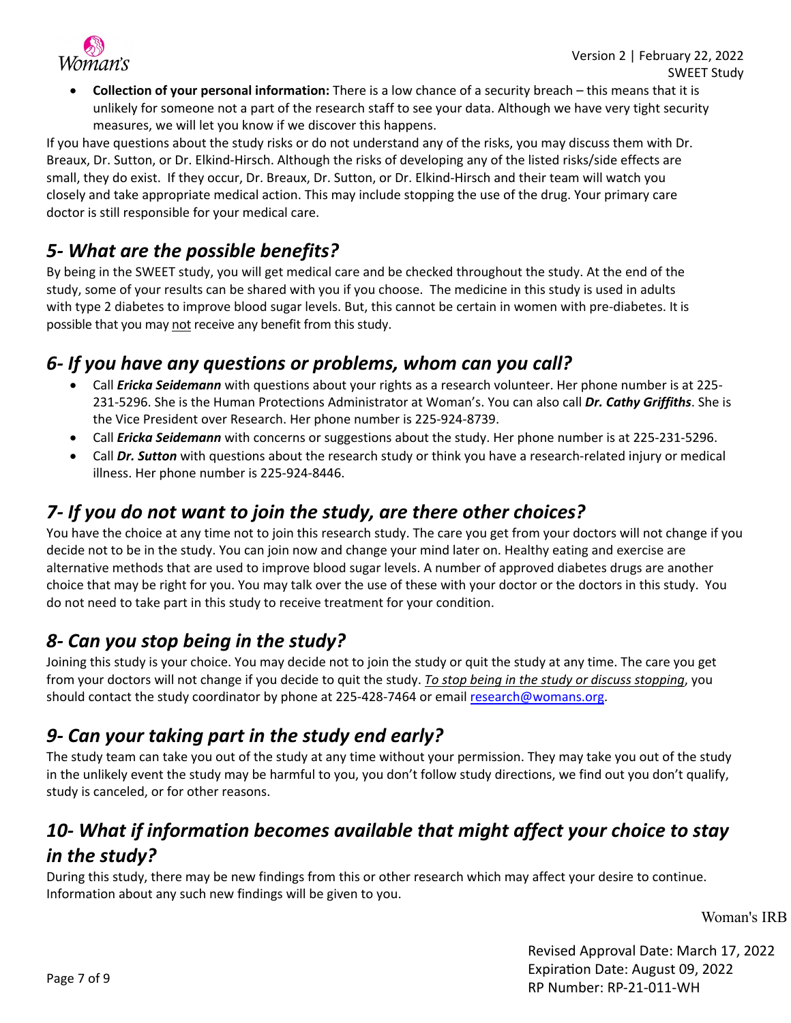

• **Collection of your personal information:** There is a low chance of a security breach – this means that it is unlikely for someone not a part of the research staff to see your data. Although we have very tight security measures, we will let you know if we discover this happens.

If you have questions about the study risks or do not understand any of the risks, you may discuss them with Dr. Breaux, Dr. Sutton, or Dr. Elkind-Hirsch. Although the risks of developing any of the listed risks/side effects are small, they do exist. If they occur, Dr. Breaux, Dr. Sutton, or Dr. Elkind-Hirsch and their team will watch you closely and take appropriate medical action. This may include stopping the use of the drug. Your primary care doctor is still responsible for your medical care.

### *5- What are the possible benefits?*

By being in the SWEET study, you will get medical care and be checked throughout the study. At the end of the study, some of your results can be shared with you if you choose. The medicine in this study is used in adults with type 2 diabetes to improve blood sugar levels. But, this cannot be certain in women with pre-diabetes. It is possible that you may not receive any benefit from this study.

### *6- If you have any questions or problems, whom can you call?*

- Call *Ericka Seidemann* with questions about your rights as a research volunteer. Her phone number is at 225- 231-5296. She is the Human Protections Administrator at Woman's. You can also call *Dr. Cathy Griffiths*. She is the Vice President over Research. Her phone number is 225-924-8739.
- Call *Ericka Seidemann* with concerns or suggestions about the study. Her phone number is at 225-231-5296.
- Call *Dr. Sutton* with questions about the research study or think you have a research-related injury or medical illness. Her phone number is 225-924-8446.

### *7- If you do not want to join the study, are there other choices?*

You have the choice at any time not to join this research study. The care you get from your doctors will not change if you decide not to be in the study. You can join now and change your mind later on. Healthy eating and exercise are alternative methods that are used to improve blood sugar levels. A number of approved diabetes drugs are another choice that may be right for you. You may talk over the use of these with your doctor or the doctors in this study. You do not need to take part in this study to receive treatment for your condition.

### *8- Can you stop being in the study?*

Joining this study is your choice. You may decide not to join the study or quit the study at any time. The care you get from your doctors will not change if you decide to quit the study. *To stop being in the study or discuss stopping*, you should contact the study coordinator by phone at 225-428-7464 or email research@womans.org.

### *9- Can your taking part in the study end early?*

The study team can take you out of the study at any time without your permission. They may take you out of the study in the unlikely event the study may be harmful to you, you don't follow study directions, we find out you don't qualify, study is canceled, or for other reasons.

### *10- What if information becomes available that might affect your choice to stay in the study?*

During this study, there may be new findings from this or other research which may affect your desire to continue. Information about any such new findings will be given to you.

Woman's IRB

Revised Approval Date: March 17, 2022 Expiration Date: August 09, 2022 RP Number: RP-21-011-WH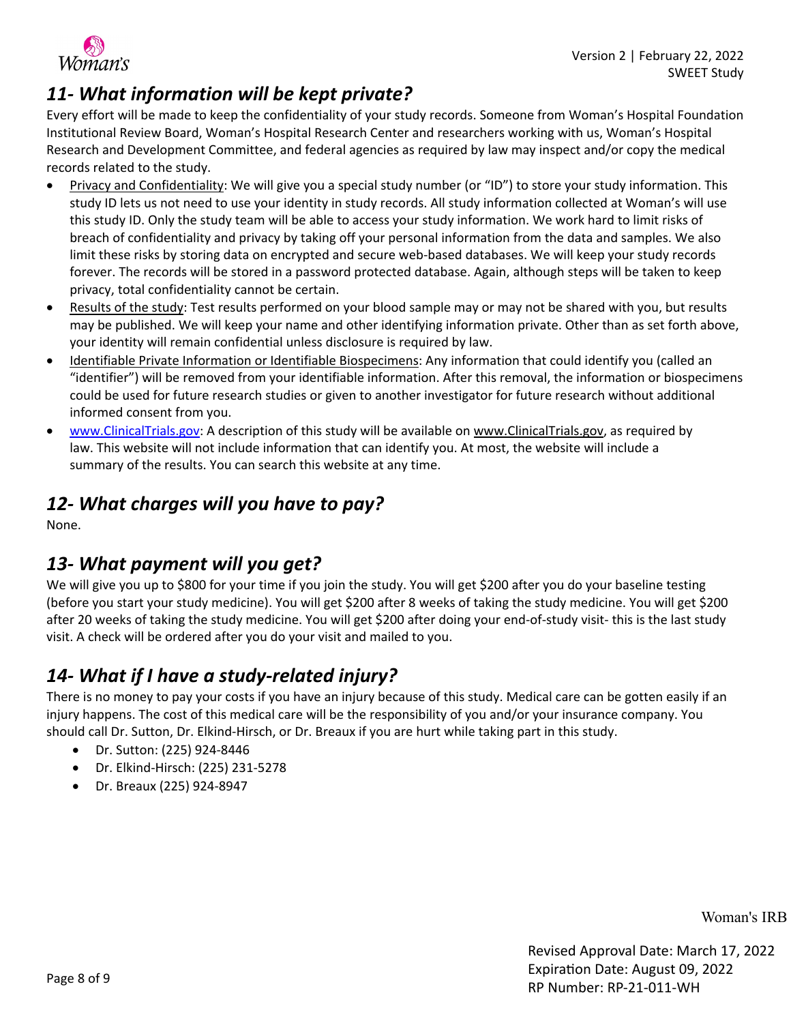

## *11- What information will be kept private?*

Every effort will be made to keep the confidentiality of your study records. Someone from Woman's Hospital Foundation Institutional Review Board, Woman's Hospital Research Center and researchers working with us, Woman's Hospital Research and Development Committee, and federal agencies as required by law may inspect and/or copy the medical records related to the study.

- Privacy and Confidentiality: We will give you a special study number (or "ID") to store your study information. This study ID lets us not need to use your identity in study records. All study information collected at Woman's will use this study ID. Only the study team will be able to access your study information. We work hard to limit risks of breach of confidentiality and privacy by taking off your personal information from the data and samples. We also limit these risks by storing data on encrypted and secure web-based databases. We will keep your study records forever. The records will be stored in a password protected database. Again, although steps will be taken to keep privacy, total confidentiality cannot be certain.
- Results of the study: Test results performed on your blood sample may or may not be shared with you, but results may be published. We will keep your name and other identifying information private. Other than as set forth above, your identity will remain confidential unless disclosure is required by law.
- Identifiable Private Information or Identifiable Biospecimens: Any information that could identify you (called an "identifier") will be removed from your identifiable information. After this removal, the information or biospecimens could be used for future research studies or given to another investigator for future research without additional informed consent from you.
- [www.ClinicalTrials.gov:](http://www.clinicaltrials.gov/) A description of this study will be available on [www.ClinicalTrials.gov](http://www.clinicaltrials.gov/), as required by law. This website will not include information that can identify you. At most, the website will include a summary of the results. You can search this website at any time.

### *12- What charges will you have to pay?*

None.

### *13- What payment will you get?*

We will give you up to \$800 for your time if you join the study. You will get \$200 after you do your baseline testing (before you start your study medicine). You will get \$200 after 8 weeks of taking the study medicine. You will get \$200 after 20 weeks of taking the study medicine. You will get \$200 after doing your end-of-study visit- this is the last study visit. A check will be ordered after you do your visit and mailed to you.

### *14- What if I have a study-related injury?*

There is no money to pay your costs if you have an injury because of this study. Medical care can be gotten easily if an injury happens. The cost of this medical care will be the responsibility of you and/or your insurance company. You should call Dr. Sutton, Dr. Elkind-Hirsch, or Dr. Breaux if you are hurt while taking part in this study.

- Dr. Sutton: (225) 924-8446
- Dr. Elkind-Hirsch: (225) 231-5278
- Dr. Breaux (225) 924-8947